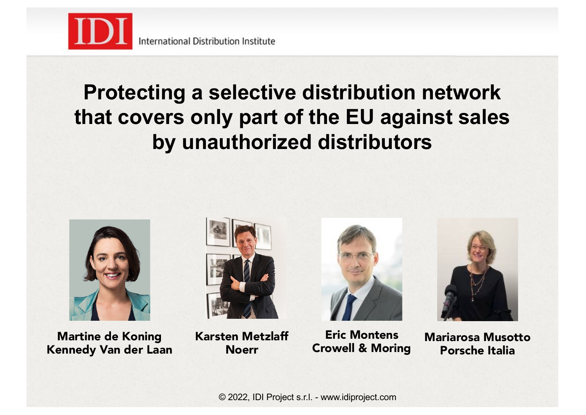

### **Protecting a selective distribution network that covers only part of the EU against sales by unauthorized distributors**



Martine de Koning Kennedy Van der Laan



Karsten Metzlaff Noerr



Eric Montens Crowell & Moring



Mariarosa Musotto Porsche Italia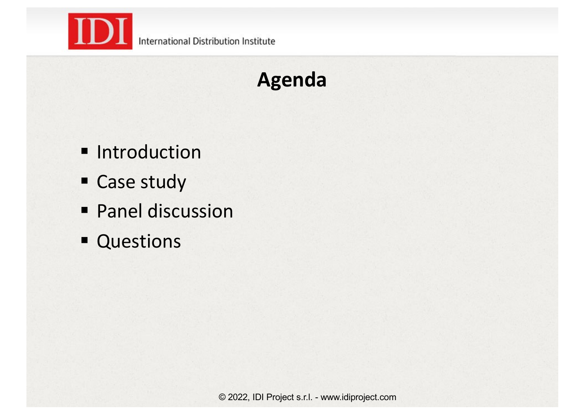

## **Agenda**

- $I$  Introduction
- **Case study**
- **Panel discussion**
- **Questions**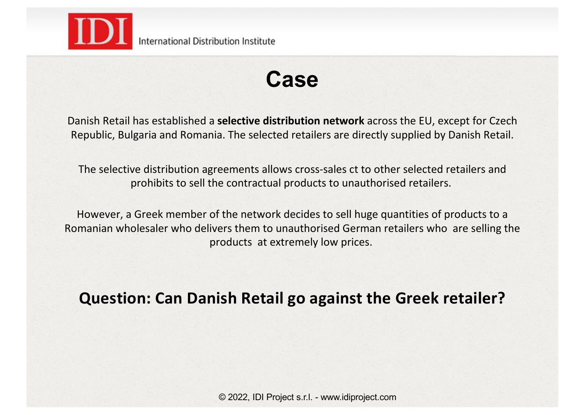

International Distribution Institute

### **Case**

Danish Retail has established a **selective distribution network** across the EU, except for Czech Republic, Bulgaria and Romania. The selected retailers are directly supplied by Danish Retail.

The selective distribution agreements allows cross-sales ct to other selected retailers and prohibits to sell the contractual products to unauthorised retailers.

However, a Greek member of the network decides to sell huge quantities of products to a Romanian wholesaler who delivers them to unauthorised German retailers who are selling the products at extremely low prices.

#### **Question: Can Danish Retail go against the Greek retailer?**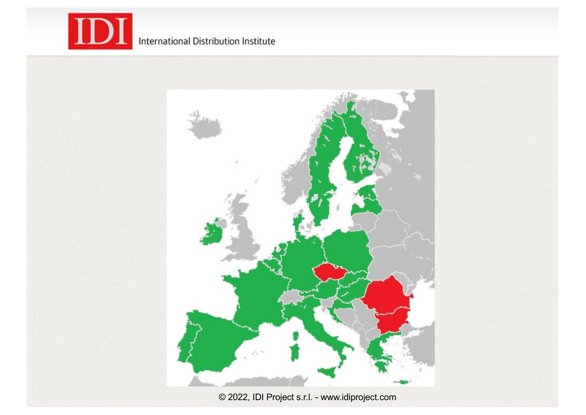

#### International Distribution Institute